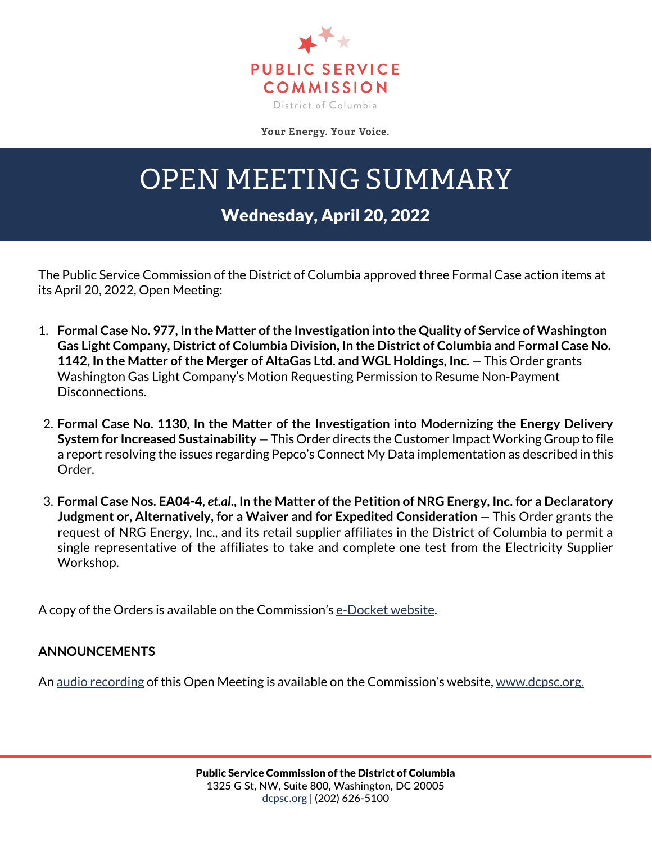

Your Energy. Your Voice.

## OPEN MEETING SUMMARY

## Wednesday, April 20, 2022

The Public Service Commission of the District of Columbia approved three Formal Case action items at its April 20, 2022, Open Meeting:

- 1. **Formal Case No. 977, In the Matter of the Investigation into the Quality of Service of Washington Gas Light Company, District of Columbia Division, In the District of Columbia and Formal Case No.**  1142, In the Matter of the Merger of AltaGas Ltd. and WGL Holdings, Inc. - This Order grants Washington Gas Light Company's Motion Requesting Permission to Resume Non-Payment Disconnections.
- 2. **Formal Case No. 1130, In the Matter of the Investigation into Modernizing the Energy Delivery System for Increased Sustainability** — This Order directs the Customer Impact Working Group to file a report resolving the issues regarding Pepco's Connect My Data implementation as described in this Order.
- 3. **Formal Case Nos. EA04-4,** *et.al***., In the Matter of the Petition of NRG Energy, Inc. for a Declaratory Judgment or, Alternatively, for a Waiver and for Expedited Consideration** — This Order grants the request of NRG Energy, Inc., and its retail supplier affiliates in the District of Columbia to permit a single representative of the affiliates to take and complete one test from the Electricity Supplier Workshop.

A copy of the Orders is available on the Commission's [e-Docket website.](https://edocket.dcpsc.org/public/search)

## **ANNOUNCEMENTS**

An [audio recording](https://dcpsc.org/Newsroom/Watch-Open-Meetings.aspx) of this Open Meeting is available on the Commission's website, [www.dcpsc.org.](http://www.dcpsc.org/)